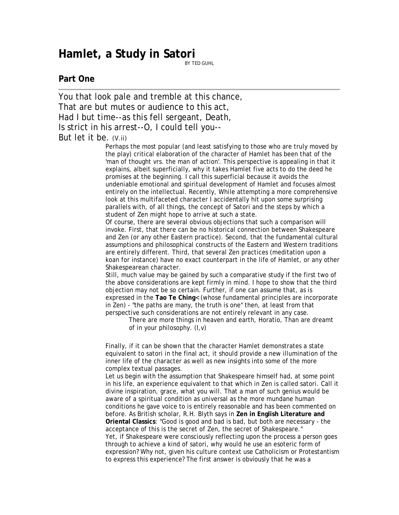## **Hamlet, a Study in Satori**

BY TED GUHL

## **Part One**

You that look pale and tremble at this chance, That are but mutes or audience to this act, Had I but time--as this fell sergeant, Death, Is strict in his arrest--O, I could tell you--

## But let it be. (V.ii)

Perhaps the most popular (and least satisfying to those who are truly moved by the play) critical elaboration of the character of Hamlet has been that of the 'man of thought vrs. the man of action'. This perspective is appealing in that it explains, albeit superficially, why it takes Hamlet five acts to do the deed he promises at the beginning. I call this superficial because it avoids the undeniable emotional and spiritual development of Hamlet and focuses almost entirely on the intellectual. Recently, While attempting a more comprehensive look at this multifaceted character I accidentally hit upon some surprising parallels with, of all things, the concept of Satori and the steps by which a student of Zen might hope to arrive at such a state.

Of course, there are several obvious objections that such a comparison will invoke. First, that there can be no historical connection between Shakespeare and Zen (or any other Eastern practice). Second, that the fundamental cultural assumptions and philosophical constructs of the Eastern and Western traditions are entirely different. Third, that several Zen practices (meditation upon a koan for instance) have no exact counterpart in the life of Hamlet, or any other Shakespearean character.

Still, much value may be gained by such a comparative study if the first two of the above considerations are kept firmly in mind. I hope to show that the third objection may not be so certain. Further, if one can assume that, as is expressed in the **Tao Te Ching**< (whose fundamental principles are incorporate in Zen) - "the paths are many, the truth is one" then, at least from that perspective such considerations are not entirely relevant in any case.

> There are more things in heaven and earth, Horatio, Than are dreamt of in your philosophy. (I,v)

Finally, if it can be shown that the character Hamlet demonstrates a state equivalent to satori in the final act, it should provide a new illumination of the inner life of the character as well as new insights into some of the more complex textual passages.

Let us begin with the assumption that Shakespeare himself had, at some point in his life, an experience equivalent to that which in Zen is called satori. Call it divine inspiration, grace, what you will. That a man of such genius would be aware of a spiritual condition as universal as the more mundane human conditions he gave voice to is entirely reasonable and has been commented on before. As British scholar, R.H. Blyth says in **Zen in English Literature and Oriental Classics**: "Good is good and bad is bad, but both are necessary - the acceptance of this is the secret of Zen, the secret of Shakespeare." Yet, if Shakespeare were consciously reflecting upon the process a person goes through to achieve a kind of satori, why would he use an esoteric form of expression? Why not, given his culture context use Catholicism or Protestantism to express this experience? The first answer is obviously that he was a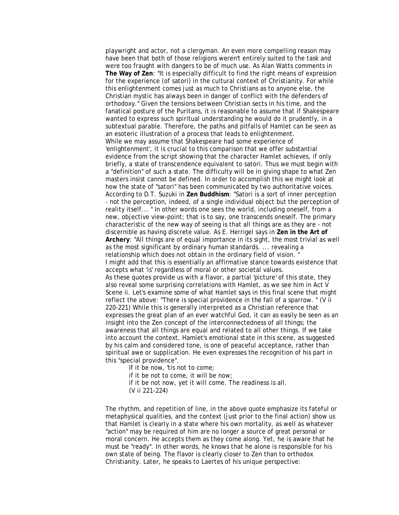playwright and actor, not a clergyman. An even more compelling reason may have been that both of those religions weren't entirely suited to the task and were too fraught with dangers to be of much use. As Alan Watts comments in **The Way of Zen**: "It is especially difficult to find the right means of expression for the experience (of satori) in the cultural context of Christianity. For while this enlightenment comes just as much to Christians as to anyone else, the Christian mystic has always been in danger of conflict with the defenders of orthodoxy." Given the tensions between Christian sects in his time, and the fanatical posture of the Puritans, it is reasonable to assume that if Shakespeare wanted to express such spiritual understanding he would do it prudently, in a subtextual parable. Therefore, the paths and pitfalls of Hamlet can be seen as an esoteric illustration of a process that leads to enlightenment. While we may assume that Shakespeare had some experience of 'enlightenment', it is crucial to this comparison that we offer substantial evidence from the script showing that the character Hamlet achieves, if only briefly, a state of transcendence equivalent to satori. Thus we must begin with a "definition" of such a state. The difficulty will be in giving shape to what Zen masters insist cannot be defined. In order to accomplish this we might look at how the state of "satori" has been communicated by two authoritative voices. According to D.T. Suzuki in **Zen Buddhism**: "Satori is a sort of inner perception - not the perception, indeed, of a single individual object but the perception of reality itself... " In other words one sees the world, including oneself, from a new, objective view-point; that is to say, one transcends oneself. The primary characteristic of the new way of seeing is that all things are as they are - not discernible as having discrete value. As E. Herrigel says in **Zen in the Art of Archery**: "All things are of equal importance in its sight, the most trivial as well as the most significant by ordinary human standards. ... revealing a relationship which does not obtain in the ordinary field of vision. " I might add that this is essentially an affirmative stance towards existence that accepts what 'is' regardless of moral or other societal values. As these quotes provide us with a flavor, a partial 'picture' of this state, they also reveal some surprising correlations with Hamlet, as we see him in Act V Scene ii. Let's examine some of what Hamlet says in this final scene that might reflect the above: "There is special providence in the fall of a sparrow. " (V ii 220-221) While this is generally interpreted as a Christian reference that expresses the great plan of an ever watchful God, it can as easily be seen as an insight into the Zen concept of the interconnectedness of all things; the awareness that all things are equal and related to all other things. If we take into account the context, Hamlet's emotional state in this scene, as suggested by his calm and considered tone, is one of peaceful acceptance, rather than spiritual awe or supplication. He even expresses the recognition of his part in this "special providence".

If it be now, 'tis not to come;

if it be not to come, it will be now;

if it be not now, yet it will come. The readiness is all.

(V ii 221-224)

The rhythm, and repetition of line, in the above quote emphasize its fateful or metaphysical qualities, and the context (just prior to the final action) show us that Hamlet is clearly in a state where his own mortality, as well as whatever "action" may be required of him are no longer a source of great personal or moral concern. He accepts them as they come along. Yet, he is aware that he must be "ready". In other words, he knows that he alone is responsible for his own state of being. The flavor is clearly closer to Zen than to orthodox Christianity. Later, he speaks to Laertes of his unique perspective: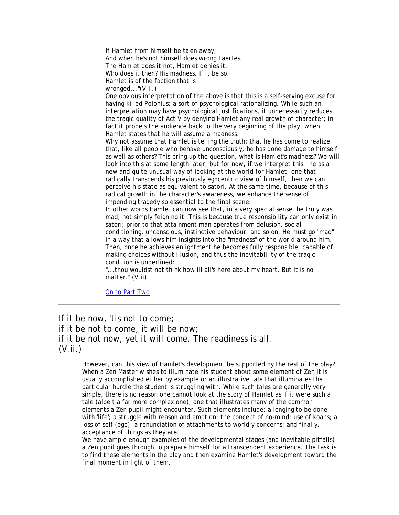If Hamlet from himself be ta'en away, And when he's not himself does wrong Laertes, The Hamlet does it not, Hamlet denies it. Who does it then? His madness. If it be so, Hamlet is of the faction that is wronged..."(V.II.) One obvious interpretation of the above is that this is a self-serving excuse for having killed Polonius; a sort of psychological rationalizing. While such an interpretation may have psychological justifications, it unnecessarily reduces the tragic quality of Act V by denying Hamlet any real growth of character; in fact it propels the audience back to the very beginning of the play, when Hamlet states that he will assume a madness. Why not assume that Hamlet is telling the truth; that he has come to realize that, like all people who behave unconsciously, he has done damage to himself as well as others? This bring up the question, what is Hamlet's madness? We will look into this at some length later, but for now, if we interpret this line as a new and quite unusual way of looking at the world for Hamlet, one that radically transcends his previously egocentric view of himself, then we can perceive his state as equivalent to satori. At the same time, because of this radical growth in the character's awareness, we enhance the sense of impending tragedy so essential to the final scene. In other words Hamlet can now see that, in a very special sense, he truly was mad, not simply feigning it. This is because true responsibility can only exist in satori; prior to that attainment man operates from delusion, social conditioning, unconscious, instinctive behaviour, and so on. He must go "mad" in a way that allows him insights into the "madness" of the world around him. Then, once he achieves enlightment he becomes fully responsible, capable of

making choices without illusion, and thus the inevitablility of the tragic condition is underlined:

"...thou wouldst not think how ill all's here about my heart. But it is no matter." (V.ii)

[On to Part Two](http://archive.birdhouse.org/words/guhl/hamtwo.html) 

If it be now, 'tis not to come; if it be not to come, it will be now; if it be not now, yet it will come. The readiness is all. (V.ii.)

> However, can this view of Hamlet's development be supported by the rest of the play? When a Zen Master wishes to illuminate his student about some element of Zen it is usually accomplished either by example or an illustrative tale that illuminates the particular hurdle the student is struggling with. While such tales are generally very simple, there is no reason one cannot look at the story of Hamlet as if it were such a tale (albeit a far more complex one), one that illustrates many of the common elements a Zen pupil might encounter. Such elements include: a longing to be done with 'life'; a struggle with reason and emotion; the concept of no-mind; use of koans; a loss of self (ego); a renunciation of attachments to worldly concerns; and finally, acceptance of things as they are.

> We have ample enough examples of the developmental stages (and inevitable pitfalls) a Zen pupil goes through to prepare himself for a transcendent experience. The task is to find these elements in the play and then examine Hamlet's development toward the final moment in light of them.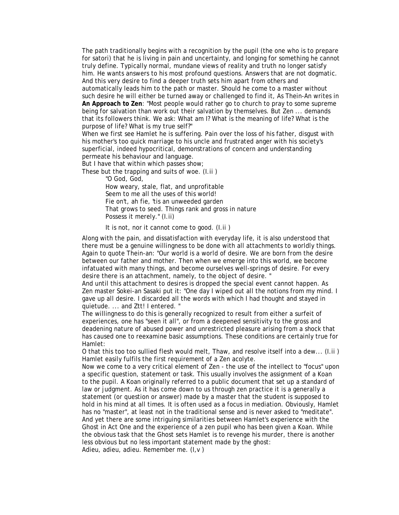The path traditionally begins with a recognition by the pupil (the one who is to prepare for satori) that he is living in pain and uncertainty, and longing for something he cannot truly define. Typically normal, mundane views of reality and truth no longer satisfy him. He wants answers to his most profound questions. Answers that are not dogmatic. And this very desire to find a deeper truth sets him apart from others and automatically leads him to the path or master. Should he come to a master without such desire he will either be turned away or challenged to find it, As Thein-An writes in **An Approach to Zen**: "Most people would rather go to church to pray to some supreme being for salvation than work out their salvation by themselves. But Zen ... demands that its followers think. We ask: What am I? What is the meaning of life? What is the purpose of life? What is my true self?"

When we first see Hamlet he is suffering. Pain over the loss of his father, disgust with his mother's too quick marriage to his uncle and frustrated anger with his society's superficial, indeed hypocritical, demonstrations of concern and understanding permeate his behaviour and language.

But I have that within which passes show;

These but the trapping and suits of woe. (I.ii )

"O God, God,

How weary, stale, flat, and unprofitable Seem to me all the uses of this world! Fie on't, ah fie, 'tis an unweeded garden That grows to seed. Things rank and gross in nature Possess it merely." (I.ii)

It is not, nor it cannot come to good. (I.ii )

Along with the pain, and dissatisfaction with everyday life, it is also understood that there must be a genuine willingness to be done with all attachments to worldly things. Again to quote Thein-an: "Our world is a world of desire. We are born from the desire between our father and mother. Then when we emerge into this world, we become infatuated with many things, and become ourselves well-springs of desire. For every desire there is an attachment, namely, to the object of desire. "

And until this attachment to desires is dropped the special event cannot happen. As Zen master Sokei-an Sasaki put it: "One day I wiped out all the notions from my mind. I gave up all desire. I discarded all the words with which I had thought and stayed in quietude. ... and Ztt! I entered. "

The willingness to do this is generally recognized to result from either a surfeit of experiences, one has "seen it all", or from a deepened sensitivity to the gross and deadening nature of abused power and unrestricted pleasure arising from a shock that has caused one to reexamine basic assumptions. These conditions are certainly true for Hamlet:

O that this too too sullied flesh would melt, Thaw, and resolve itself into a dew... (I.ii ) Hamlet easily fulfils the first requirement of a Zen acolyte.

Now we come to a very critical element of Zen - the use of the intellect to "focus" upon a specific question, statement or task. This usually involves the assignment of a Koan to the pupil. A Koan originally referred to a public document that set up a standard of law or judgment. As it has come down to us through zen practice it is a generally a statement (or question or answer) made by a master that the student is supposed to hold in his mind at all times. It is often used as a focus in mediation. Obviously, Hamlet has no "master", at least not in the traditional sense and is never asked to "meditate". And yet there are some intriguing similarities between Hamlet's experience with the Ghost in Act One and the experience of a zen pupil who has been given a Koan. While the obvious task that the Ghost sets Hamlet is to revenge his murder, there is another less obvious but no less important statement made by the ghost:

Adieu, adieu, adieu. Remember me. (I,v )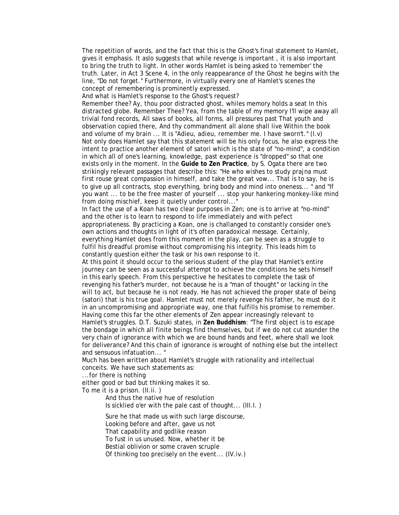The repetition of words, and the fact that this is the Ghost's final statement to Hamlet, gives it emphasis. It aslo suggests that while revenge is important , it is also important to bring the truth to light. In other words Hamlet is being asked to 'remember' the truth. Later, in Act 3 Scene 4, in the only reappearance of the Ghost he begins with the line, "Do not forget." Furthermore, in virtually every one of Hamlet's scenes the concept of remembering is prominently expressed.

And what is Hamlet's response to the Ghost's request?

Remember thee? Ay, thou poor distracted ghost, whiles memory holds a seat In this distracted globe. Remember Thee? Yea, from the table of my memory I'll wipe away all trivial fond records, All saws of books, all forms, all pressures past That youth and observation copied there, And thy commandment all alone shall live Within the book and volume of my brain ... It is "Adieu, adieu, remember me. I have sworn't." (I.v) Not only does Hamlet say that this statement will be his only focus, he also express the intent to practice another element of satori which is the state of "no-mind", a condition in which all of one's learning, knowledge, past experience is "dropped" so that one exists only in the moment. In the **Guide to Zen Practice**, by S. Ogata there are two strikingly relevant passages that describe this: "He who wishes to study prajna must first rouse great compassion in himself, and take the great vow... That is to say, he is to give up all contracts, stop everything, bring body and mind into oneness... " and "If you want ... to be the free master of yourself ... stop your hankering monkey-like mind from doing mischief, keep it quietly under control...'

In fact the use of a Koan has two clear purposes in Zen; one is to arrive at "no-mind" and the other is to learn to respond to life immediately and with pefect appropriateness. By practicing a Koan, one is challanged to constantly consider one's own actions and thoughts in light of it's often paradoxical message. Certainly, everything Hamlet does from this moment in the play, can be seen as a struggle to fulfil his dreadful promise without compromising his integrity. This leads him to constantly question either the task or his own response to it.

At this point it should occur to the serious student of the play that Hamlet's entire journey can be seen as a successful attempt to achieve the conditions he sets himself in this early speech. From this perspective he hesitates to complete the task of revenging his father's murder, not because he is a "man of thought" or lacking in the will to act, but because he is not ready. He has not achieved the proper state of being (satori) that is his true goal. Hamlet must not merely revenge his father, he must do it in an uncompromising and appropriate way, one that fulfills his promise to remember. Having come this far the other elements of Zen appear increasingly relevant to Hamlet's struggles. D.T. Suzuki states, in **Zen Buddhism**: "The first object is to escape the bondage in which all finite beings find themselves, but if we do not cut asunder the very chain of ignorance with which we are bound hands and feet, where shall we look for deliverance? And this chain of ignorance is wrought of nothing else but the intellect and sensuous infatuation... "

Much has been written about Hamlet's struggle with rationality and intellectual conceits. We have such statements as:

...for there is nothing

either good or bad but thinking makes it so.

To me it is a prison. (II.ii. )

And thus the native hue of resolution Is sicklied o'er with the pale cast of thought... (III.I. )

Sure he that made us with such large discourse, Looking before and after, gave us not

That capability and godlike reason

To fust in us unused. Now, whether it be

Bestial oblivion or some craven scruple

Of thinking too precisely on the event... (IV.iv.)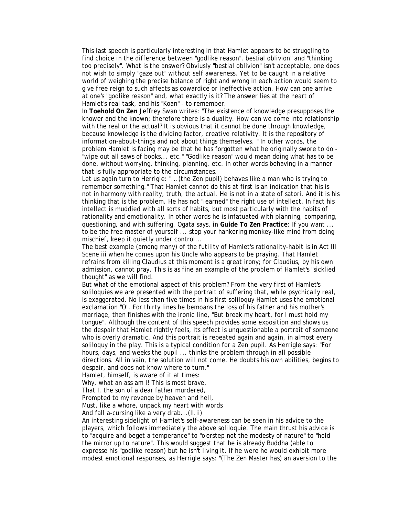This last speech is particularly interesting in that Hamlet appears to be struggling to find choice in the difference between "godlike reason", bestial oblivion" and "thinking too precisely". What is the answer? Obviusly "bestial oblivion" isn't acceptable, one does not wish to simply "gaze out" without self awareness. Yet to be caught in a relative world of weighing the precise balance of right and wrong in each action would seem to give free reign to such affects as cowardice or ineffective action. How can one arrive at one's "godlike reason" and, what exactly is it? The answer lies at the heart of Hamlet's real task, and his "Koan" - to remember.

In **Toehold On Zen** Jeffrey Swan writes: "The existence of knowledge presupposes the knower and the known; therefore there is a duality. How can we come into relationship with the real or the actual? It is obvious that it cannot be done through knowledge, because knowledge is the dividing factor, creative relativity. It is the repository of information-about-things and not about things themselves. " In other words, the problem Hamlet is facing may be that he has forgotten what he originally swore to do - "wipe out all saws of books... etc." "Godlike reason" would mean doing what has to be done, without worrying, thinking, planning, etc. In other words behaving in a manner that is fully appropriate to the circumstances.

Let us again turn to Herrigle: "...(the Zen pupil) behaves like a man who is trying to remember something." That Hamlet cannot do this at first is an indication that his is not in harmony with reality, truth, the actual. He is not in a state of satori. And it is his thinking that is the problem. He has not "learned" the right use of intellect. In fact his intellect is muddied with all sorts of habits, but most particularly with the habits of rationality and emotionality. In other words he is infatuated with planning, comparing, questioning, and with suffering. Ogata says, in **Guide To Zen Practice**: If you want ... to be the free master of yourself ... stop your hankering monkey-like mind from doing mischief, keep it quietly under control...

The best example (among many) of the futility of Hamlet's rationality-habit is in Act III Scene iii when he comes upon his Uncle who appears to be praying. That Hamlet refrains from killing Claudius at this moment is a great irony; for Claudius, by his own admission, cannot pray. This is as fine an example of the problem of Hamlet's "sicklied thought" as we will find.

But what of the emotional aspect of this problem? From the very first of Hamlet's soliloquies we are presented with the portrait of suffering that, while psychically real, is exaggerated. No less than five times in his first soliloquy Hamlet uses the emotional exclamation "O". For thirty lines he bemoans the loss of his father and his mother's marriage, then finishes with the ironic line, "But break my heart, for I must hold my tongue". Although the content of this speech provides some exposition and shows us the despair that Hamlet rightly feels, its effect is unquestionable a portrait of someone who is overly dramatic. And this portrait is repeated again and again, in almost every soliloquy in the play. This is a typical condition for a Zen pupil. As Herrigle says: "For hours, days, and weeks the pupil ... thinks the problem through in all possible directions. All in vain, the solution will not come. He doubts his own abilities, begins to despair, and does not know where to turn."

Hamlet, himself, is aware of it at times:

Why, what an ass am I! This is most brave,

That I, the son of a dear father murdered,

Prompted to my revenge by heaven and hell,

Must, like a whore, unpack my heart with words

And fall a-cursing like a very drab...(II.ii)

An interesting sidelight of Hamlet's self-awareness can be seen in his advice to the players, which follows immediately the above soliloquie. The main thrust his advice is to "acquire and beget a temperance" to "o'erstep not the modesty of nature" to "hold the mirror up to nature". This would suggest that he is already Buddha (able to expresse his "godlike reason) but he isn't living it. If he were he would exhibit more modest emotional responses, as Herrigle says: "(The Zen Master has) an aversion to the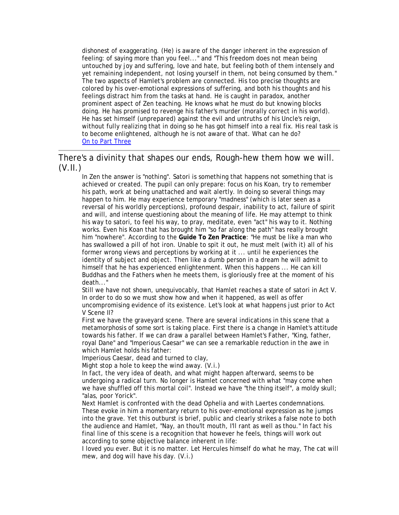dishonest of exaggerating. (He) is aware of the danger inherent in the expression of feeling: of saying more than you feel..." and "This freedom does not mean being untouched by joy and suffering, love and hate, but feeling both of them intensely and yet remaining independent, not losing yourself in them, not being consumed by them." The two aspects of Hamlet's problem are connected. His too precise thoughts are colored by his over-emotional expressions of suffering, and both his thoughts and his feelings distract him from the tasks at hand. He is caught in paradox, another prominent aspect of Zen teaching. He knows what he must do but knowing blocks doing. He has promised to revenge his father's murder (morally correct in his world). He has set himself (unprepared) against the evil and untruths of his Uncle's reign, without fully realizing that in doing so he has got himself into a real fix. His real task is to become enlightened, although he is not aware of that. What can he do? [On to Part Three](http://archive.birdhouse.org/words/guhl/hamthree.html) 

## There's a divinity that shapes our ends, Rough-hew them how we will. (V.II.)

In Zen the answer is "nothing". Satori is something that happens not something that is achieved or created. The pupil can only prepare: focus on his Koan, try to remember his path, work at being unattached and wait alertly. In doing so several things may happen to him. He may experience temporary "madness" (which is later seen as a reversal of his worldly perceptions), profound despair, inability to act, failure of spirit and will, and intense questioning about the meaning of life. He may attempt to think his way to satori, to feel his way, to pray, meditate, even "act" his way to it. Nothing works. Even his Koan that has brought him "so far along the path" has really brought him "nowhere". According to the **Guide To Zen Practice**: "He must be like a man who has swallowed a pill of hot iron. Unable to spit it out, he must melt (with it) all of his former wrong views and perceptions by working at it ... until he experiences the identity of subject and object. Then like a dumb person in a dream he will admit to himself that he has experienced enlightenment. When this happens ... He can kill Buddhas and the Fathers when he meets them, is gloriously free at the moment of his death..."

Still we have not shown, unequivocably, that Hamlet reaches a state of satori in Act V. In order to do so we must show how and when it happened, as well as offer uncompromising evidence of its existence. Let's look at what happens just prior to Act V Scene II?

First we have the graveyard scene. There are several indications in this scene that a metamorphosis of some sort is taking place. First there is a change in Hamlet's attitude towards his father. If we can draw a parallel between Hamlet's Father, "King, father, royal Dane" and "Imperious Caesar" we can see a remarkable reduction in the awe in which Hamlet holds his father:

Imperious Caesar, dead and turned to clay,

Might stop a hole to keep the wind away. (V.i.)

In fact, the very idea of death, and what might happen afterward, seems to be undergoing a radical turn. No longer is Hamlet concerned with what "may come when we have shuffled off this mortal coil". Instead we have "the thing itself", a moldy skull; "alas, poor Yorick".

Next Hamlet is confronted with the dead Ophelia and with Laertes condemnations. These evoke in him a momentary return to his over-emotional expression as he jumps into the grave. Yet this outburst is brief, public and clearly strikes a false note to both the audience and Hamlet, "Nay, an thou'lt mouth, I'll rant as well as thou." In fact his final line of this scene is a recognition that however he feels, things will work out according to some objective balance inherent in life:

I loved you ever. But it is no matter. Let Hercules himself do what he may, The cat will mew, and dog will have his day. (V.i.)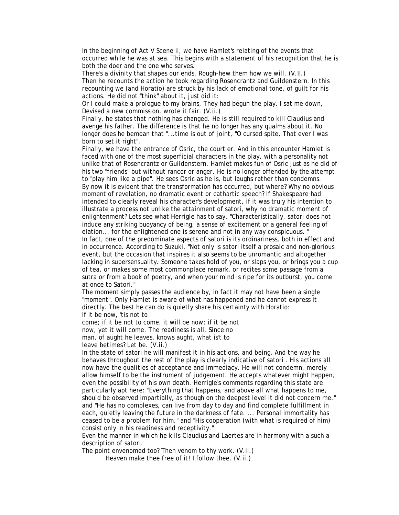In the beginning of Act V Scene ii, we have Hamlet's relating of the events that occurred while he was at sea. This begins with a statement of his recognition that he is both the doer and the one who serves.

There's a divinity that shapes our ends, Rough-hew them how we will. (V.II.) Then he recounts the action he took regarding Rosencrantz and Guildenstern. In this recounting we (and Horatio) are struck by his lack of emotional tone, of guilt for his actions. He did not "think" about it, just did it:

Or I could make a prologue to my brains, They had begun the play. I sat me down, Devised a new commission, wrote it fair. (V.ii.)

Finally, he states that nothing has changed. He is still required to kill Claudius and avenge his father. The difference is that he no longer has any qualms about it. No longer does he bemoan that "...time is out of joint, "O cursed spite, That ever I was born to set it right".

Finally, we have the entrance of Osric, the courtier. And in this encounter Hamlet is faced with one of the most superficial characters in the play, with a personality not unlike that of Rosencrantz or Guildenstern. Hamlet makes fun of Osric just as he did of his two "friends" but without rancor or anger. He is no longer offended by the attempt to "play him like a pipe". He sees Osric as he is, but laughs rather than condemns. By now it is evident that the transformation has occurred, but where? Why no obvious moment of revelation, no dramatic event or cathartic speech? If Shakespeare had intended to clearly reveal his character's development, if it was truly his intention to illustrate a process not unlike the attainment of satori, why no dramatic moment of enlightenment? Lets see what Herrigle has to say, "Characteristically, satori does not induce any striking buoyancy of being, a sense of excitement or a general feeling of elation... for the enlightened one is serene and not in any way conspicuous. "

In fact, one of the predominate aspects of satori is its ordinariness, both in effect and in occurrence. According to Suzuki, "Not only is satori itself a prosaic and non-glorious event, but the occasion that inspires it also seems to be unromantic and altogether lacking in supersensuality. Someone takes hold of you, or slaps you, or brings you a cup of tea, or makes some most commonplace remark, or recites some passage from a sutra or from a book of poetry, and when your mind is ripe for its outburst, you come at once to Satori."

The moment simply passes the audience by, in fact it may not have been a single "moment". Only Hamlet is aware of what has happened and he cannot express it directly. The best he can do is quietly share his certainty with Horatio: If it be now, 'tis not to

come; if it be not to come, it will be now; if it be not

now, yet it will come. The readiness is all. Since no

man, of aught he leaves, knows aught, what is't to

leave betimes? Let be. (V.ii.)

In the state of satori he will manifest it in his actions, and being. And the way he behaves throughout the rest of the play is clearly indicative of satori . His actions all now have the qualities of acceptance and immediacy. He will not condemn, merely allow himself to be the instrument of judgement. He accepts whatever might happen, even the possibility of his own death. Herrigle's comments regarding this state are particularly apt here: "Everything that happens, and above all what happens to me, should be observed impartially, as though on the deepest level it did not concern me." and "He has no complexes, can live from day to day and find complete fulfillment in each, quietly leaving the future in the darkness of fate. ... Personal immortality has ceased to be a problem for him." and "His cooperation (with what is required of him) consist only in his readiness and receptivity."

Even the manner in which he kills Claudius and Laertes are in harmony with a such a description of satori.

The point envenomed too? Then venom to thy work. (V.ii.)

Heaven make thee free of it! I follow thee. (V.ii.)